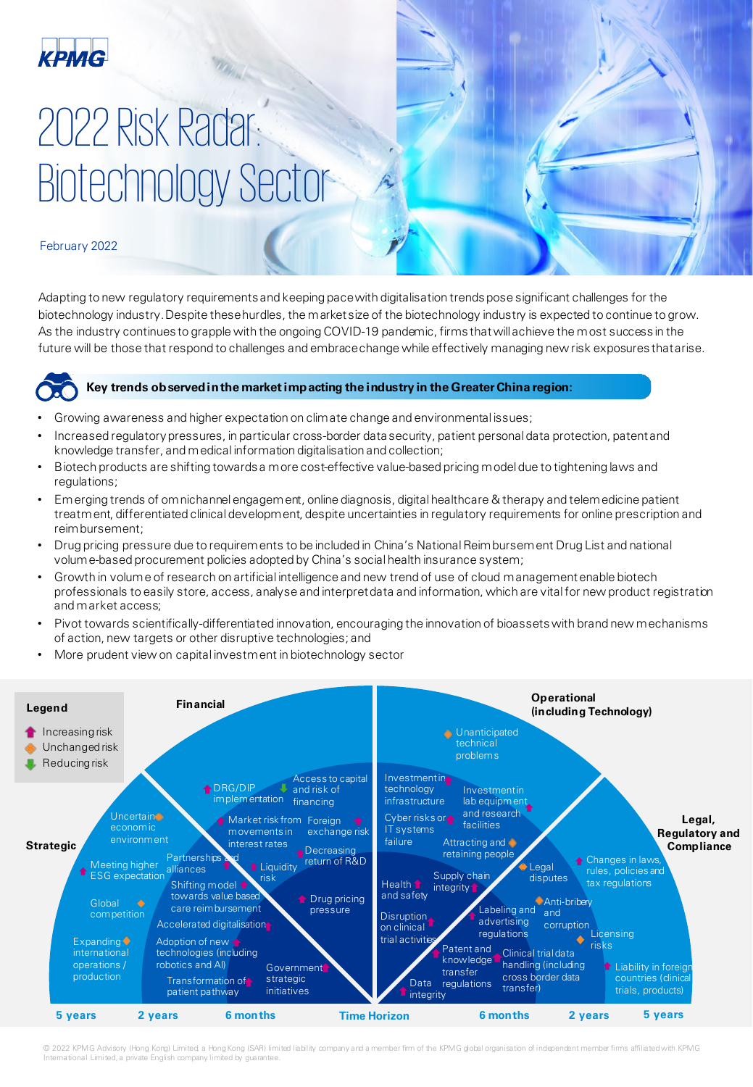

## 2022 Risk Radar: Biotechnology Sector

February 2022

Adapting to new regulatory requirements and keeping pace with digitalisation trends pose significant challenges for the biotechnology industry. Despite these hurdles, the market size of the biotechnology industry is expected to continue to grow. As the industry continues to grapple with the ongoing COVID-19 pandemic, firms that will achieve the most success in the future will be those that respond to challenges and embrace change while effectively managing new risk exposures that arise.



#### **Key trends observed in the market impacting the industry in the Greater China region:**

- Growing awareness and higher expectation on climate change and environmental issues;
- Increased regulatory pressures, in particular cross-border data security, patient personal data protection, patent and knowledge transfer, and medical information digitalisation and collection;
- Biotech products are shifting towards a more cost-effective value-based pricing model due to tightening laws and regulations;
- Emerging trends of omnichannel engagement, online diagnosis, digital healthcare & therapy and telemedicine patient treatment, differentiated clinical development, despite uncertainties in regulatory requirements for online prescription and reimbursement;
- Drug pricing pressure due to requirements to be included in China's National Reimbursement Drug List and national volume-based procurement policies adopted by China's social health insurance system;
- Growth in volume of research on artificial intelligence and new trend of use of cloud management enable biotech professionals to easily store, access, analyse and interpret data and information, which are vital for new product registration and market access;
- Pivot towards scientifically-differentiated innovation, encouraging the innovation of bioassets with brand new mechanisms of action, new targets or other disruptive technologies; and
- More prudent view on capital investment in biotechnology sector



© 2022 KPMG Advisory (Hong Kong) Limited, a Hong Kong (SAR) limited lability company and a member fim of the KPMG global organisation of independent member firms affiliated with KPMG International Limited, a private English company limited by guarantee.